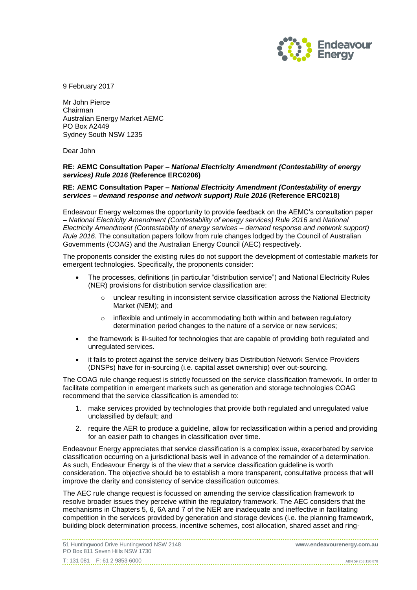

9 February 2017

Mr John Pierce Chairman Australian Energy Market AEMC PO Box A2449 Sydney South NSW 1235

Dear John

#### **RE: AEMC Consultation Paper –** *National Electricity Amendment (Contestability of energy services) Rule 2016* **(Reference ERC0206)**

#### **RE: AEMC Consultation Paper –** *National Electricity Amendment (Contestability of energy services – demand response and network support) Rule 2016* **(Reference ERC0218)**

Endeavour Energy welcomes the opportunity to provide feedback on the AEMC's consultation paper – *National Electricity Amendment (Contestability of energy services) Rule 2016* and *National Electricity Amendment (Contestability of energy services – demand response and network support) Rule 2016*. The consultation papers follow from rule changes lodged by the Council of Australian Governments (COAG) and the Australian Energy Council (AEC) respectively.

The proponents consider the existing rules do not support the development of contestable markets for emergent technologies. Specifically, the proponents consider:

- The processes, definitions (in particular "distribution service") and National Electricity Rules (NER) provisions for distribution service classification are:
	- $\circ$  unclear resulting in inconsistent service classification across the National Electricity Market (NEM); and
	- o inflexible and untimely in accommodating both within and between regulatory determination period changes to the nature of a service or new services;
- the framework is ill-suited for technologies that are capable of providing both regulated and unregulated services.
- it fails to protect against the service delivery bias Distribution Network Service Providers (DNSPs) have for in-sourcing (i.e. capital asset ownership) over out-sourcing.

The COAG rule change request is strictly focussed on the service classification framework. In order to facilitate competition in emergent markets such as generation and storage technologies COAG recommend that the service classification is amended to:

- 1. make services provided by technologies that provide both regulated and unregulated value unclassified by default; and
- 2. require the AER to produce a guideline, allow for reclassification within a period and providing for an easier path to changes in classification over time.

Endeavour Energy appreciates that service classification is a complex issue, exacerbated by service classification occurring on a jurisdictional basis well in advance of the remainder of a determination. As such, Endeavour Energy is of the view that a service classification guideline is worth consideration. The objective should be to establish a more transparent, consultative process that will improve the clarity and consistency of service classification outcomes.

The AEC rule change request is focussed on amending the service classification framework to resolve broader issues they perceive within the regulatory framework. The AEC considers that the mechanisms in Chapters 5, 6, 6A and 7 of the NER are inadequate and ineffective in facilitating competition in the services provided by generation and storage devices (i.e. the planning framework, building block determination process, incentive schemes, cost allocation, shared asset and ring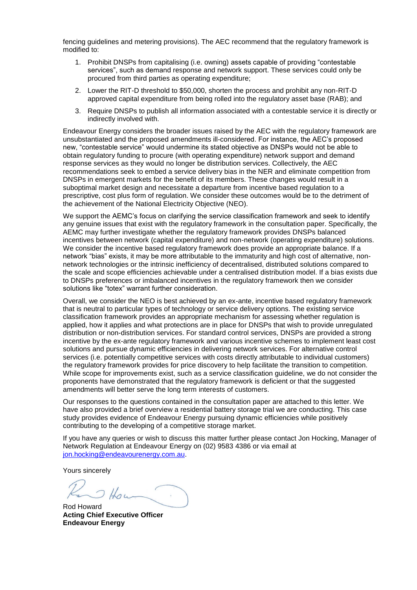fencing guidelines and metering provisions). The AEC recommend that the regulatory framework is modified to:

- 1. Prohibit DNSPs from capitalising (i.e. owning) assets capable of providing "contestable services", such as demand response and network support. These services could only be procured from third parties as operating expenditure;
- 2. Lower the RIT-D threshold to \$50,000, shorten the process and prohibit any non-RIT-D approved capital expenditure from being rolled into the regulatory asset base (RAB); and
- 3. Require DNSPs to publish all information associated with a contestable service it is directly or indirectly involved with.

Endeavour Energy considers the broader issues raised by the AEC with the regulatory framework are unsubstantiated and the proposed amendments ill-considered. For instance, the AEC's proposed new, "contestable service" would undermine its stated objective as DNSPs would not be able to obtain regulatory funding to procure (with operating expenditure) network support and demand response services as they would no longer be distribution services. Collectively, the AEC recommendations seek to embed a service delivery bias in the NER and eliminate competition from DNSPs in emergent markets for the benefit of its members. These changes would result in a suboptimal market design and necessitate a departure from incentive based regulation to a prescriptive, cost plus form of regulation. We consider these outcomes would be to the detriment of the achievement of the National Electricity Objective (NEO).

We support the AEMC's focus on clarifying the service classification framework and seek to identify any genuine issues that exist with the regulatory framework in the consultation paper. Specifically, the AEMC may further investigate whether the regulatory framework provides DNSPs balanced incentives between network (capital expenditure) and non-network (operating expenditure) solutions. We consider the incentive based regulatory framework does provide an appropriate balance. If a network "bias" exists, it may be more attributable to the immaturity and high cost of alternative, nonnetwork technologies or the intrinsic inefficiency of decentralised, distributed solutions compared to the scale and scope efficiencies achievable under a centralised distribution model. If a bias exists due to DNSPs preferences or imbalanced incentives in the regulatory framework then we consider solutions like "totex" warrant further consideration.

Overall, we consider the NEO is best achieved by an ex-ante, incentive based regulatory framework that is neutral to particular types of technology or service delivery options. The existing service classification framework provides an appropriate mechanism for assessing whether regulation is applied, how it applies and what protections are in place for DNSPs that wish to provide unregulated distribution or non-distribution services. For standard control services, DNSPs are provided a strong incentive by the ex-ante regulatory framework and various incentive schemes to implement least cost solutions and pursue dynamic efficiencies in delivering network services. For alternative control services (i.e. potentially competitive services with costs directly attributable to individual customers) the regulatory framework provides for price discovery to help facilitate the transition to competition. While scope for improvements exist, such as a service classification guideline, we do not consider the proponents have demonstrated that the regulatory framework is deficient or that the suggested amendments will better serve the long term interests of customers.

Our responses to the questions contained in the consultation paper are attached to this letter. We have also provided a brief overview a residential battery storage trial we are conducting. This case study provides evidence of Endeavour Energy pursuing dynamic efficiencies while positively contributing to the developing of a competitive storage market.

If you have any queries or wish to discuss this matter further please contact Jon Hocking, Manager of Network Regulation at Endeavour Energy on (02) 9583 4386 or via email at [jon.hocking@endeavourenergy.com.au.](mailto:jon.hocking@endeavourenergy.com.au)

Yours sincerely

 $Hau$ 

Rod Howard **Acting Chief Executive Officer Endeavour Energy**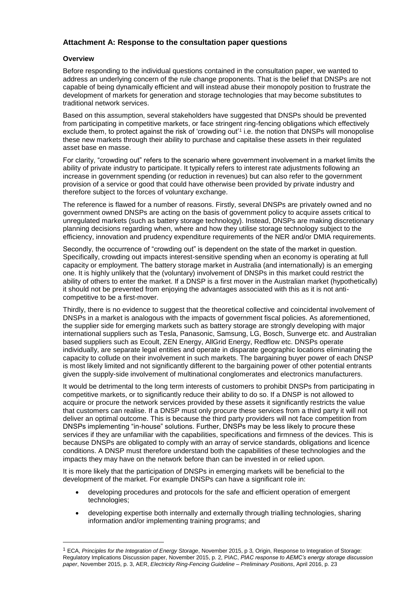## **Attachment A: Response to the consultation paper questions**

### **Overview**

 $\overline{a}$ 

Before responding to the individual questions contained in the consultation paper, we wanted to address an underlying concern of the rule change proponents. That is the belief that DNSPs are not capable of being dynamically efficient and will instead abuse their monopoly position to frustrate the development of markets for generation and storage technologies that may become substitutes to traditional network services.

Based on this assumption, several stakeholders have suggested that DNSPs should be prevented from participating in competitive markets, or face stringent ring-fencing obligations which effectively exclude them, to protect against the risk of 'crowding out'<sup>1</sup> i.e. the notion that DNSPs will monopolise these new markets through their ability to purchase and capitalise these assets in their regulated asset base en masse.

For clarity, "crowding out" refers to the scenario where government involvement in a market limits the ability of private industry to participate. It typically refers to interest rate adjustments following an increase in government spending (or reduction in revenues) but can also refer to the government provision of a service or good that could have otherwise been provided by private industry and therefore subject to the forces of voluntary exchange.

The reference is flawed for a number of reasons. Firstly, several DNSPs are privately owned and no government owned DNSPs are acting on the basis of government policy to acquire assets critical to unregulated markets (such as battery storage technology). Instead, DNSPs are making discretionary planning decisions regarding when, where and how they utilise storage technology subject to the efficiency, innovation and prudency expenditure requirements of the NER and/or DMIA requirements.

Secondly, the occurrence of "crowding out" is dependent on the state of the market in question. Specifically, crowding out impacts interest-sensitive spending when an economy is operating at full capacity or employment. The battery storage market in Australia (and internationally) is an emerging one. It is highly unlikely that the (voluntary) involvement of DNSPs in this market could restrict the ability of others to enter the market. If a DNSP is a first mover in the Australian market (hypothetically) it should not be prevented from enjoying the advantages associated with this as it is not anticompetitive to be a first-mover.

Thirdly, there is no evidence to suggest that the theoretical collective and coincidental involvement of DNSPs in a market is analogous with the impacts of government fiscal policies. As aforementioned, the supplier side for emerging markets such as battery storage are strongly developing with major international suppliers such as Tesla, Panasonic, Samsung, LG, Bosch, Sunverge etc. and Australian based suppliers such as Ecoult, ZEN Energy, AllGrid Energy, Redflow etc. DNSPs operate individually, are separate legal entities and operate in disparate geographic locations eliminating the capacity to collude on their involvement in such markets. The bargaining buyer power of each DNSP is most likely limited and not significantly different to the bargaining power of other potential entrants given the supply-side involvement of multinational conglomerates and electronics manufacturers.

It would be detrimental to the long term interests of customers to prohibit DNSPs from participating in competitive markets, or to significantly reduce their ability to do so. If a DNSP is not allowed to acquire or procure the network services provided by these assets it significantly restricts the value that customers can realise. If a DNSP must only procure these services from a third party it will not deliver an optimal outcome. This is because the third party providers will not face competition from DNSPs implementing "in-house" solutions. Further, DNSPs may be less likely to procure these services if they are unfamiliar with the capabilities, specifications and firmness of the devices. This is because DNSPs are obligated to comply with an array of service standards, obligations and licence conditions. A DNSP must therefore understand both the capabilities of these technologies and the impacts they may have on the network before than can be invested in or relied upon.

It is more likely that the participation of DNSPs in emerging markets will be beneficial to the development of the market. For example DNSPs can have a significant role in:

- developing procedures and protocols for the safe and efficient operation of emergent technologies;
- developing expertise both internally and externally through trialling technologies, sharing information and/or implementing training programs; and

<sup>1</sup> ECA, *Principles for the Integration of Energy Storage*, November 2015, p 3, Origin, Response to Integration of Storage: Regulatory Implications Discussion paper, November 2015, p. 2, PIAC, *PIAC response to AEMC's energy storage discussion paper*, November 2015, p. 3, AER, *Electricity Ring-Fencing Guideline – Preliminary Positions*, April 2016, p. 23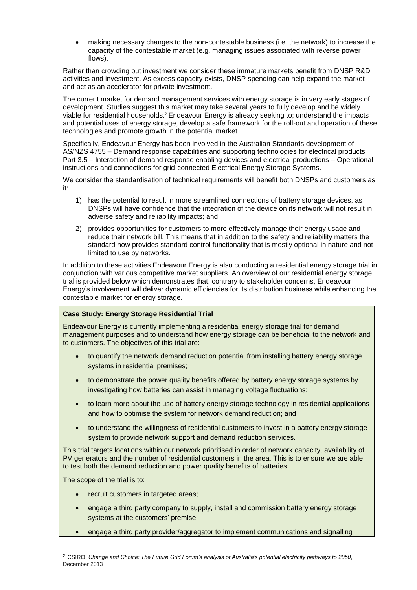making necessary changes to the non-contestable business (i.e. the network) to increase the capacity of the contestable market (e.g. managing issues associated with reverse power flows).

Rather than crowding out investment we consider these immature markets benefit from DNSP R&D activities and investment. As excess capacity exists, DNSP spending can help expand the market and act as an accelerator for private investment.

The current market for demand management services with energy storage is in very early stages of development. Studies suggest this market may take several years to fully develop and be widely viable for residential households.<sup>2</sup>Endeavour Energy is already seeking to; understand the impacts and potential uses of energy storage, develop a safe framework for the roll-out and operation of these technologies and promote growth in the potential market.

Specifically, Endeavour Energy has been involved in the Australian Standards development of AS/NZS 4755 – Demand response capabilities and supporting technologies for electrical products Part 3.5 – Interaction of demand response enabling devices and electrical productions – Operational instructions and connections for grid-connected Electrical Energy Storage Systems.

We consider the standardisation of technical requirements will benefit both DNSPs and customers as it:

- 1) has the potential to result in more streamlined connections of battery storage devices, as DNSPs will have confidence that the integration of the device on its network will not result in adverse safety and reliability impacts; and
- 2) provides opportunities for customers to more effectively manage their energy usage and reduce their network bill. This means that in addition to the safety and reliability matters the standard now provides standard control functionality that is mostly optional in nature and not limited to use by networks.

In addition to these activities Endeavour Energy is also conducting a residential energy storage trial in conjunction with various competitive market suppliers. An overview of our residential energy storage trial is provided below which demonstrates that, contrary to stakeholder concerns, Endeavour Energy's involvement will deliver dynamic efficiencies for its distribution business while enhancing the contestable market for energy storage.

### **Case Study: Energy Storage Residential Trial**

Endeavour Energy is currently implementing a residential energy storage trial for demand management purposes and to understand how energy storage can be beneficial to the network and to customers. The objectives of this trial are:

- to quantify the network demand reduction potential from installing battery energy storage systems in residential premises;
- to demonstrate the power quality benefits offered by battery energy storage systems by investigating how batteries can assist in managing voltage fluctuations;
- to learn more about the use of battery energy storage technology in residential applications and how to optimise the system for network demand reduction; and
- to understand the willingness of residential customers to invest in a battery energy storage system to provide network support and demand reduction services.

This trial targets locations within our network prioritised in order of network capacity, availability of PV generators and the number of residential customers in the area. This is to ensure we are able to test both the demand reduction and power quality benefits of batteries.

The scope of the trial is to:

 $\overline{a}$ 

- recruit customers in targeted areas;
- engage a third party company to supply, install and commission battery energy storage systems at the customers' premise;
- engage a third party provider/aggregator to implement communications and signalling

<sup>2</sup> CSIRO, *Change and Choice: The Future Grid Forum's analysis of Australia's potential electricity pathways to 2050*, December 2013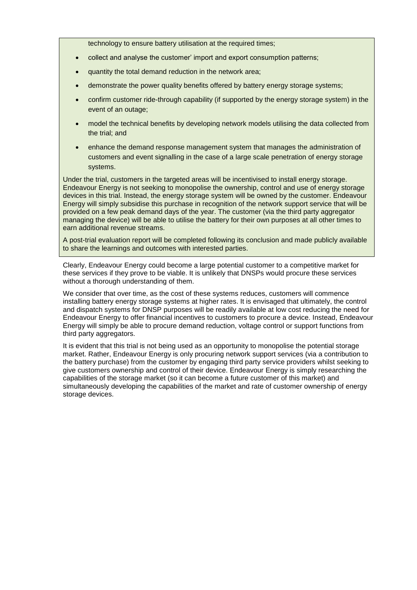technology to ensure battery utilisation at the required times;

- collect and analyse the customer' import and export consumption patterns;
- quantity the total demand reduction in the network area;
- demonstrate the power quality benefits offered by battery energy storage systems;
- confirm customer ride-through capability (if supported by the energy storage system) in the event of an outage;
- model the technical benefits by developing network models utilising the data collected from the trial; and
- enhance the demand response management system that manages the administration of customers and event signalling in the case of a large scale penetration of energy storage systems.

Under the trial, customers in the targeted areas will be incentivised to install energy storage. Endeavour Energy is not seeking to monopolise the ownership, control and use of energy storage devices in this trial. Instead, the energy storage system will be owned by the customer. Endeavour Energy will simply subsidise this purchase in recognition of the network support service that will be provided on a few peak demand days of the year. The customer (via the third party aggregator managing the device) will be able to utilise the battery for their own purposes at all other times to earn additional revenue streams.

A post-trial evaluation report will be completed following its conclusion and made publicly available to share the learnings and outcomes with interested parties.

Clearly, Endeavour Energy could become a large potential customer to a competitive market for these services if they prove to be viable. It is unlikely that DNSPs would procure these services without a thorough understanding of them.

We consider that over time, as the cost of these systems reduces, customers will commence installing battery energy storage systems at higher rates. It is envisaged that ultimately, the control and dispatch systems for DNSP purposes will be readily available at low cost reducing the need for Endeavour Energy to offer financial incentives to customers to procure a device. Instead, Endeavour Energy will simply be able to procure demand reduction, voltage control or support functions from third party aggregators.

It is evident that this trial is not being used as an opportunity to monopolise the potential storage market. Rather, Endeavour Energy is only procuring network support services (via a contribution to the battery purchase) from the customer by engaging third party service providers whilst seeking to give customers ownership and control of their device. Endeavour Energy is simply researching the capabilities of the storage market (so it can become a future customer of this market) and simultaneously developing the capabilities of the market and rate of customer ownership of energy storage devices.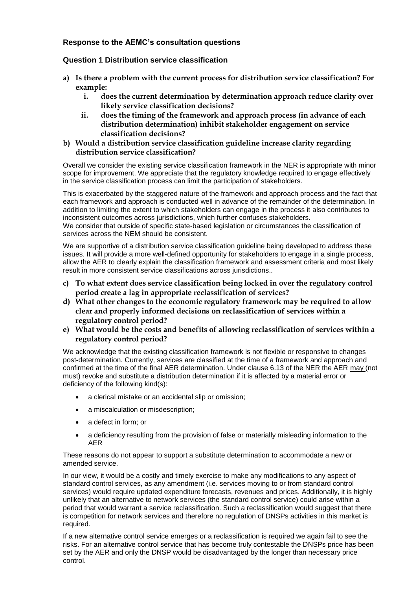## **Response to the AEMC's consultation questions**

## **Question 1 Distribution service classification**

- **a) Is there a problem with the current process for distribution service classification? For example:**
	- **i. does the current determination by determination approach reduce clarity over likely service classification decisions?**
	- **ii. does the timing of the framework and approach process (in advance of each distribution determination) inhibit stakeholder engagement on service classification decisions?**
- **b) Would a distribution service classification guideline increase clarity regarding distribution service classification?**

Overall we consider the existing service classification framework in the NER is appropriate with minor scope for improvement. We appreciate that the regulatory knowledge required to engage effectively in the service classification process can limit the participation of stakeholders.

This is exacerbated by the staggered nature of the framework and approach process and the fact that each framework and approach is conducted well in advance of the remainder of the determination. In addition to limiting the extent to which stakeholders can engage in the process it also contributes to inconsistent outcomes across jurisdictions, which further confuses stakeholders. We consider that outside of specific state-based legislation or circumstances the classification of services across the NEM should be consistent.

We are supportive of a distribution service classification guideline being developed to address these issues. It will provide a more well-defined opportunity for stakeholders to engage in a single process, allow the AER to clearly explain the classification framework and assessment criteria and most likely result in more consistent service classifications across jurisdictions..

- **c) To what extent does service classification being locked in over the regulatory control period create a lag in appropriate reclassification of services?**
- **d) What other changes to the economic regulatory framework may be required to allow clear and properly informed decisions on reclassification of services within a regulatory control period?**
- **e) What would be the costs and benefits of allowing reclassification of services within a regulatory control period?**

We acknowledge that the existing classification framework is not flexible or responsive to changes post-determination. Currently, services are classified at the time of a framework and approach and confirmed at the time of the final AER determination. Under clause 6.13 of the NER the AER may (not must) revoke and substitute a distribution determination if it is affected by a material error or deficiency of the following kind(s):

- a clerical mistake or an accidental slip or omission;
- a miscalculation or misdescription;
- a defect in form; or
- a deficiency resulting from the provision of false or materially misleading information to the AER

These reasons do not appear to support a substitute determination to accommodate a new or amended service.

In our view, it would be a costly and timely exercise to make any modifications to any aspect of standard control services, as any amendment (i.e. services moving to or from standard control services) would require updated expenditure forecasts, revenues and prices. Additionally, it is highly unlikely that an alternative to network services (the standard control service) could arise within a period that would warrant a service reclassification. Such a reclassification would suggest that there is competition for network services and therefore no regulation of DNSPs activities in this market is required.

If a new alternative control service emerges or a reclassification is required we again fail to see the risks. For an alternative control service that has become truly contestable the DNSPs price has been set by the AER and only the DNSP would be disadvantaged by the longer than necessary price control.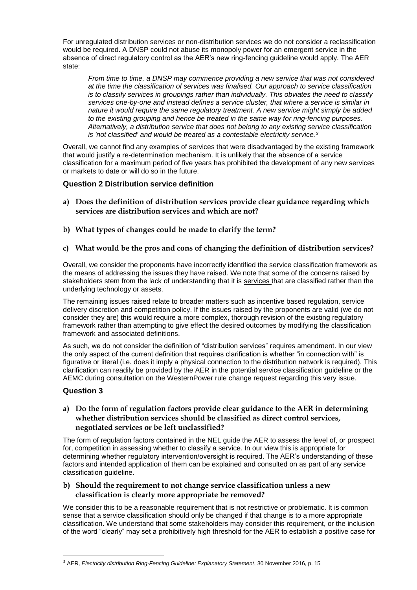For unregulated distribution services or non-distribution services we do not consider a reclassification would be required. A DNSP could not abuse its monopoly power for an emergent service in the absence of direct regulatory control as the AER's new ring-fencing guideline would apply. The AER state:

*From time to time, a DNSP may commence providing a new service that was not considered at the time the classification of services was finalised. Our approach to service classification is to classify services in groupings rather than individually. This obviates the need to classify services one-by-one and instead defines a service cluster, that where a service is similar in nature it would require the same regulatory treatment. A new service might simply be added to the existing grouping and hence be treated in the same way for ring-fencing purposes. Alternatively, a distribution service that does not belong to any existing service classification is 'not classified' and would be treated as a contestable electricity service.<sup>3</sup>*

Overall, we cannot find any examples of services that were disadvantaged by the existing framework that would justify a re-determination mechanism. It is unlikely that the absence of a service classification for a maximum period of five years has prohibited the development of any new services or markets to date or will do so in the future.

## **Question 2 Distribution service definition**

- **a) Does the definition of distribution services provide clear guidance regarding which services are distribution services and which are not?**
- **b) What types of changes could be made to clarify the term?**

## **c) What would be the pros and cons of changing the definition of distribution services?**

Overall, we consider the proponents have incorrectly identified the service classification framework as the means of addressing the issues they have raised. We note that some of the concerns raised by stakeholders stem from the lack of understanding that it is services that are classified rather than the underlying technology or assets.

The remaining issues raised relate to broader matters such as incentive based regulation, service delivery discretion and competition policy. If the issues raised by the proponents are valid (we do not consider they are) this would require a more complex, thorough revision of the existing regulatory framework rather than attempting to give effect the desired outcomes by modifying the classification framework and associated definitions.

As such, we do not consider the definition of "distribution services" requires amendment. In our view the only aspect of the current definition that requires clarification is whether "in connection with" is figurative or literal (i.e. does it imply a physical connection to the distribution network is required). This clarification can readily be provided by the AER in the potential service classification guideline or the AEMC during consultation on the WesternPower rule change request regarding this very issue.

# **Question 3**

 $\overline{a}$ 

## **a) Do the form of regulation factors provide clear guidance to the AER in determining whether distribution services should be classified as direct control services, negotiated services or be left unclassified?**

The form of regulation factors contained in the NEL guide the AER to assess the level of, or prospect for, competition in assessing whether to classify a service. In our view this is appropriate for determining whether regulatory intervention/oversight is required. The AER's understanding of these factors and intended application of them can be explained and consulted on as part of any service classification guideline.

## **b) Should the requirement to not change service classification unless a new classification is clearly more appropriate be removed?**

We consider this to be a reasonable requirement that is not restrictive or problematic. It is common sense that a service classification should only be changed if that change is to a more appropriate classification. We understand that some stakeholders may consider this requirement, or the inclusion of the word "clearly" may set a prohibitively high threshold for the AER to establish a positive case for

<sup>3</sup> AER, *Electricity distribution Ring-Fencing Guideline: Explanatory Statement*, 30 November 2016, p. 15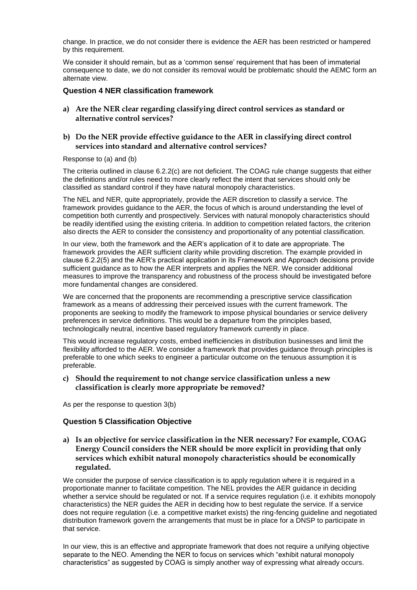change. In practice, we do not consider there is evidence the AER has been restricted or hampered by this requirement.

We consider it should remain, but as a 'common sense' requirement that has been of immaterial consequence to date, we do not consider its removal would be problematic should the AEMC form an alternate view.

### **Question 4 NER classification framework**

**a) Are the NER clear regarding classifying direct control services as standard or alternative control services?**

### **b) Do the NER provide effective guidance to the AER in classifying direct control services into standard and alternative control services?**

#### Response to (a) and (b)

The criteria outlined in clause 6.2.2(c) are not deficient. The COAG rule change suggests that either the definitions and/or rules need to more clearly reflect the intent that services should only be classified as standard control if they have natural monopoly characteristics.

The NEL and NER, quite appropriately, provide the AER discretion to classify a service. The framework provides guidance to the AER, the focus of which is around understanding the level of competition both currently and prospectively. Services with natural monopoly characteristics should be readily identified using the existing criteria. In addition to competition related factors, the criterion also directs the AER to consider the consistency and proportionality of any potential classification.

In our view, both the framework and the AER's application of it to date are appropriate. The framework provides the AER sufficient clarity while providing discretion. The example provided in clause 6.2.2(5) and the AER's practical application in its Framework and Approach decisions provide sufficient guidance as to how the AER interprets and applies the NER. We consider additional measures to improve the transparency and robustness of the process should be investigated before more fundamental changes are considered.

We are concerned that the proponents are recommending a prescriptive service classification framework as a means of addressing their perceived issues with the current framework. The proponents are seeking to modify the framework to impose physical boundaries or service delivery preferences in service definitions. This would be a departure from the principles based, technologically neutral, incentive based regulatory framework currently in place.

This would increase regulatory costs, embed inefficiencies in distribution businesses and limit the flexibility afforded to the AER. We consider a framework that provides guidance through principles is preferable to one which seeks to engineer a particular outcome on the tenuous assumption it is preferable.

#### **c) Should the requirement to not change service classification unless a new classification is clearly more appropriate be removed?**

As per the response to question 3(b)

### **Question 5 Classification Objective**

**a) Is an objective for service classification in the NER necessary? For example, COAG Energy Council considers the NER should be more explicit in providing that only services which exhibit natural monopoly characteristics should be economically regulated.**

We consider the purpose of service classification is to apply regulation where it is required in a proportionate manner to facilitate competition. The NEL provides the AER guidance in deciding whether a service should be regulated or not. If a service requires regulation (i.e. it exhibits monopoly characteristics) the NER guides the AER in deciding how to best regulate the service. If a service does not require regulation (i.e. a competitive market exists) the ring-fencing guideline and negotiated distribution framework govern the arrangements that must be in place for a DNSP to participate in that service.

In our view, this is an effective and appropriate framework that does not require a unifying objective separate to the NEO. Amending the NER to focus on services which "exhibit natural monopoly characteristics" as suggested by COAG is simply another way of expressing what already occurs.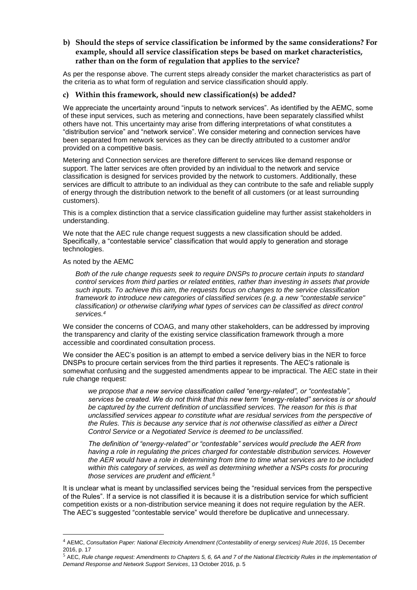## **b) Should the steps of service classification be informed by the same considerations? For example, should all service classification steps be based on market characteristics, rather than on the form of regulation that applies to the service?**

As per the response above. The current steps already consider the market characteristics as part of the criteria as to what form of regulation and service classification should apply.

### **c) Within this framework, should new classification(s) be added?**

We appreciate the uncertainty around "inputs to network services". As identified by the AEMC, some of these input services, such as metering and connections, have been separately classified whilst others have not. This uncertainty may arise from differing interpretations of what constitutes a "distribution service" and "network service". We consider metering and connection services have been separated from network services as they can be directly attributed to a customer and/or provided on a competitive basis.

Metering and Connection services are therefore different to services like demand response or support. The latter services are often provided by an individual to the network and service classification is designed for services provided by the network to customers. Additionally, these services are difficult to attribute to an individual as they can contribute to the safe and reliable supply of energy through the distribution network to the benefit of all customers (or at least surrounding customers).

This is a complex distinction that a service classification guideline may further assist stakeholders in understanding.

We note that the AEC rule change request suggests a new classification should be added. Specifically, a "contestable service" classification that would apply to generation and storage technologies.

#### As noted by the AEMC

 $\overline{a}$ 

*Both of the rule change requests seek to require DNSPs to procure certain inputs to standard control services from third parties or related entities, rather than investing in assets that provide such inputs. To achieve this aim, the requests focus on changes to the service classification framework to introduce new categories of classified services (e.g. a new "contestable service" classification) or otherwise clarifying what types of services can be classified as direct control services.<sup>4</sup>*

We consider the concerns of COAG, and many other stakeholders, can be addressed by improving the transparency and clarity of the existing service classification framework through a more accessible and coordinated consultation process.

We consider the AEC's position is an attempt to embed a service delivery bias in the NER to force DNSPs to procure certain services from the third parties it represents. The AEC's rationale is somewhat confusing and the suggested amendments appear to be impractical. The AEC state in their rule change request:

*we propose that a new service classification called "energy-related", or "contestable", services be created. We do not think that this new term "energy-related" services is or should be captured by the current definition of unclassified services. The reason for this is that unclassified services appear to constitute what are residual services from the perspective of the Rules. This is because any service that is not otherwise classified as either a Direct Control Service or a Negotiated Service is deemed to be unclassified.*

*The definition of "energy-related" or "contestable" services would preclude the AER from having a role in regulating the prices charged for contestable distribution services. However the AER would have a role in determining from time to time what services are to be included within this category of services, as well as determining whether a NSPs costs for procuring those services are prudent and efficient.<sup>5</sup>*

It is unclear what is meant by unclassified services being the "residual services from the perspective of the Rules". If a service is not classified it is because it is a distribution service for which sufficient competition exists or a non-distribution service meaning it does not require regulation by the AER. The AEC's suggested "contestable service" would therefore be duplicative and unnecessary.

<sup>4</sup> AEMC, *Consultation Paper: National Electricity Amendment (Contestability of energy services) Rule 2016*, 15 December 2016, p. 17

<sup>5</sup> AEC, *Rule change request: Amendments to Chapters 5, 6, 6A and 7 of the National Electricity Rules in the implementation of Demand Response and Network Support Services*, 13 October 2016, p. 5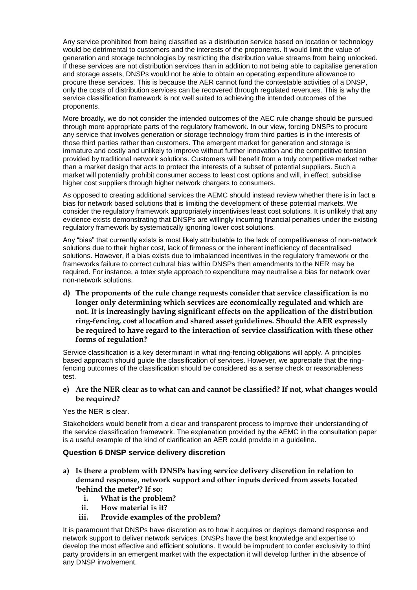Any service prohibited from being classified as a distribution service based on location or technology would be detrimental to customers and the interests of the proponents. It would limit the value of generation and storage technologies by restricting the distribution value streams from being unlocked. If these services are not distribution services than in addition to not being able to capitalise generation and storage assets, DNSPs would not be able to obtain an operating expenditure allowance to procure these services. This is because the AER cannot fund the contestable activities of a DNSP, only the costs of distribution services can be recovered through regulated revenues. This is why the service classification framework is not well suited to achieving the intended outcomes of the proponents.

More broadly, we do not consider the intended outcomes of the AEC rule change should be pursued through more appropriate parts of the regulatory framework. In our view, forcing DNSPs to procure any service that involves generation or storage technology from third parties is in the interests of those third parties rather than customers. The emergent market for generation and storage is immature and costly and unlikely to improve without further innovation and the competitive tension provided by traditional network solutions. Customers will benefit from a truly competitive market rather than a market design that acts to protect the interests of a subset of potential suppliers. Such a market will potentially prohibit consumer access to least cost options and will, in effect, subsidise higher cost suppliers through higher network chargers to consumers.

As opposed to creating additional services the AEMC should instead review whether there is in fact a bias for network based solutions that is limiting the development of these potential markets. We consider the regulatory framework appropriately incentivises least cost solutions. It is unlikely that any evidence exists demonstrating that DNSPs are willingly incurring financial penalties under the existing regulatory framework by systematically ignoring lower cost solutions.

Any "bias" that currently exists is most likely attributable to the lack of competitiveness of non-network solutions due to their higher cost, lack of firmness or the inherent inefficiency of decentralised solutions. However, if a bias exists due to imbalanced incentives in the regulatory framework or the frameworks failure to correct cultural bias within DNSPs then amendments to the NER may be required. For instance, a totex style approach to expenditure may neutralise a bias for network over non-network solutions.

**d) The proponents of the rule change requests consider that service classification is no longer only determining which services are economically regulated and which are not. It is increasingly having significant effects on the application of the distribution ring-fencing, cost allocation and shared asset guidelines. Should the AER expressly be required to have regard to the interaction of service classification with these other forms of regulation?**

Service classification is a key determinant in what ring-fencing obligations will apply. A principles based approach should guide the classification of services. However, we appreciate that the ringfencing outcomes of the classification should be considered as a sense check or reasonableness test.

### **e) Are the NER clear as to what can and cannot be classified? If not, what changes would be required?**

Yes the NER is clear.

Stakeholders would benefit from a clear and transparent process to improve their understanding of the service classification framework. The explanation provided by the AEMC in the consultation paper is a useful example of the kind of clarification an AER could provide in a guideline.

### **Question 6 DNSP service delivery discretion**

- **a) Is there a problem with DNSPs having service delivery discretion in relation to demand response, network support and other inputs derived from assets located 'behind the meter'? If so:**
	- **i. What is the problem?**
	- **ii. How material is it?**
	- **iii. Provide examples of the problem?**

It is paramount that DNSPs have discretion as to how it acquires or deploys demand response and network support to deliver network services. DNSPs have the best knowledge and expertise to develop the most effective and efficient solutions. It would be imprudent to confer exclusivity to third party providers in an emergent market with the expectation it will develop further in the absence of any DNSP involvement.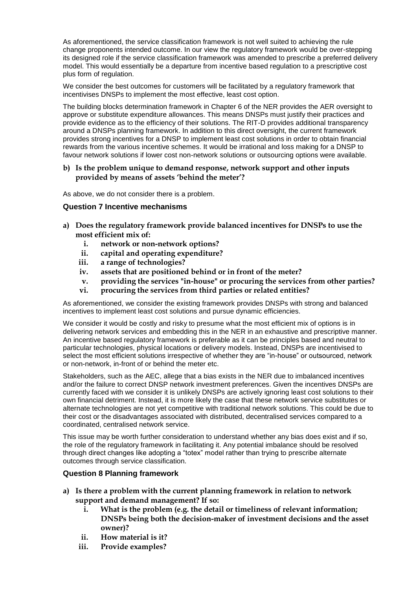As aforementioned, the service classification framework is not well suited to achieving the rule change proponents intended outcome. In our view the regulatory framework would be over-stepping its designed role if the service classification framework was amended to prescribe a preferred delivery model. This would essentially be a departure from incentive based regulation to a prescriptive cost plus form of regulation.

We consider the best outcomes for customers will be facilitated by a regulatory framework that incentivises DNSPs to implement the most effective, least cost option.

The building blocks determination framework in Chapter 6 of the NER provides the AER oversight to approve or substitute expenditure allowances. This means DNSPs must justify their practices and provide evidence as to the efficiency of their solutions. The RIT-D provides additional transparency around a DNSPs planning framework. In addition to this direct oversight, the current framework provides strong incentives for a DNSP to implement least cost solutions in order to obtain financial rewards from the various incentive schemes. It would be irrational and loss making for a DNSP to favour network solutions if lower cost non-network solutions or outsourcing options were available.

### **b) Is the problem unique to demand response, network support and other inputs provided by means of assets 'behind the meter'?**

As above, we do not consider there is a problem.

## **Question 7 Incentive mechanisms**

- **a) Does the regulatory framework provide balanced incentives for DNSPs to use the most efficient mix of:**
	- **i. network or non-network options?**
	- **ii. capital and operating expenditure?**
	- **iii. a range of technologies?**
	- **iv. assets that are positioned behind or in front of the meter?**
	- **v. providing the services "in-house" or procuring the services from other parties?**
	- **vi. procuring the services from third parties or related entities?**

As aforementioned, we consider the existing framework provides DNSPs with strong and balanced incentives to implement least cost solutions and pursue dynamic efficiencies.

We consider it would be costly and risky to presume what the most efficient mix of options is in delivering network services and embedding this in the NER in an exhaustive and prescriptive manner. An incentive based regulatory framework is preferable as it can be principles based and neutral to particular technologies, physical locations or delivery models. Instead, DNSPs are incentivised to select the most efficient solutions irrespective of whether they are "in-house" or outsourced, network or non-network, in-front of or behind the meter etc.

Stakeholders, such as the AEC, allege that a bias exists in the NER due to imbalanced incentives and/or the failure to correct DNSP network investment preferences. Given the incentives DNSPs are currently faced with we consider it is unlikely DNSPs are actively ignoring least cost solutions to their own financial detriment. Instead, it is more likely the case that these network service substitutes or alternate technologies are not yet competitive with traditional network solutions. This could be due to their cost or the disadvantages associated with distributed, decentralised services compared to a coordinated, centralised network service.

This issue may be worth further consideration to understand whether any bias does exist and if so, the role of the regulatory framework in facilitating it. Any potential imbalance should be resolved through direct changes like adopting a "totex" model rather than trying to prescribe alternate outcomes through service classification.

### **Question 8 Planning framework**

- **a) Is there a problem with the current planning framework in relation to network support and demand management? If so:**
	- **i. What is the problem (e.g. the detail or timeliness of relevant information; DNSPs being both the decision-maker of investment decisions and the asset owner)?**
	- **ii. How material is it?**
	- **iii. Provide examples?**